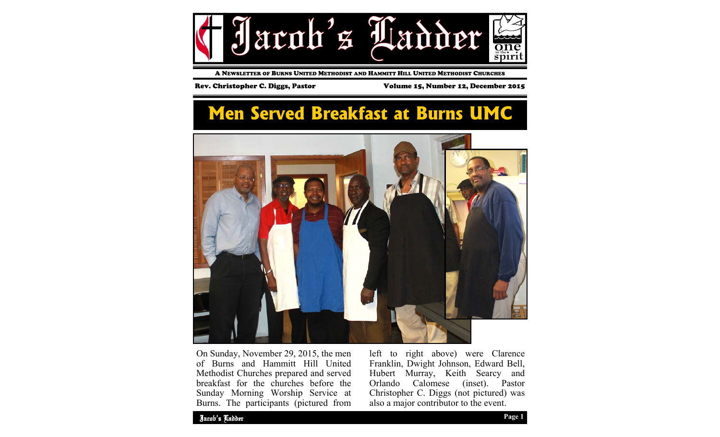

A NEWSLETTER OF BURNS UNITED METHODIST AND HAMMITT HILL UNITED METHODIST CHURCHES

Rev. Christopher C. Diggs, Pastor Volume 15, Number 12, December 2015

## **Men Served Breakfast at Burns UMC**



On Sunday, November 29, 2015, the men of Burns and Hammitt Hill United Methodist Churches prepared and served breakfast for the churches before the Sunday Morning Worship Service at Burns. The participants (pictured from left to right above) were Clarence Franklin, Dwight Johnson, Edward Bell, Hubert Murray, Keith Searcy and<br>Orlando Calomese (inset). Pastor Orlando Calomese Christopher C. Diggs (not pictured) was also a major contributor to the event.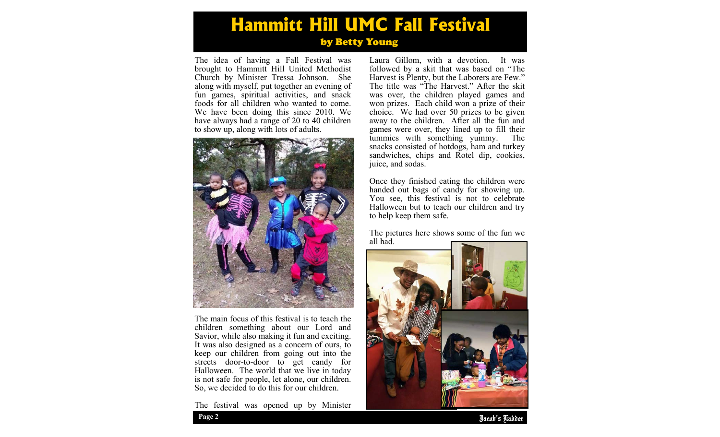## **Hammitt Hill UMC Fall Festival** by Betty Young

The idea of having a Fall Festival was brought to Hammitt Hill United Methodist Church by Minister Tressa Johnson. She along with myself, put together an evening of fun games, spiritual activities, and snack foods for all children who wanted to come. We have been doing this since 2010. We have always had a range of 20 to 40 children to show up, along with lots of adults.



The main focus of this festival is to teach the children something about our Lord and Savior, while also making it fun and exciting. It was also designed as a concern of ours, to keep our children from going out into the streets door-to-door to get candy for Halloween. The world that we live in today is not safe for people, let alone, our children. So, we decided to do this for our children.

The festival was opened up by Minister

Laura Gillom, with a devotion. It was followed by a skit that was based on "The Harvest is Plenty, but the Laborers are Few." The title was "The Harvest." After the skit was over, the children played games and won prizes. Each child won a prize of their choice. We had over 50 prizes to be given away to the children. After all the fun and games were over, they lined up to fill their tummies with something yummy. The snacks consisted of hotdogs, ham and turkey sandwiches, chips and Rotel dip, cookies, juice, and sodas.

Once they finished eating the children were handed out bags of candy for showing up. You see, this festival is not to celebrate Halloween but to teach our children and try to help keep them safe.

The pictures here shows some of the fun we all had.



Jacob's Ladder **Page 2**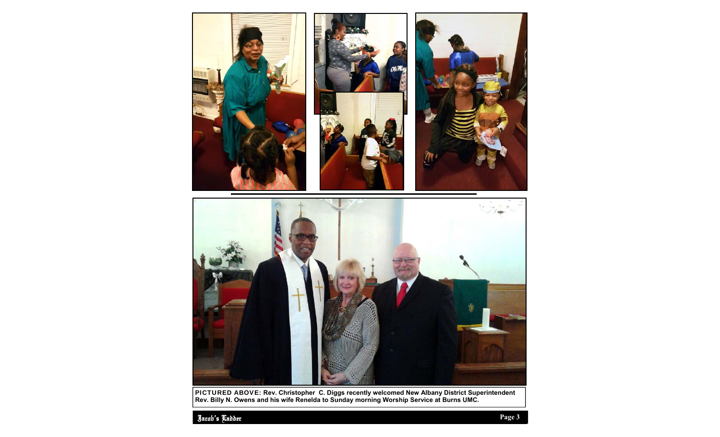

PICTURED ABOVE: **Rev. Christopher C. Diggs recently welcomed New Albany District Superintendent Rev. Billy N. Owens and his wife Renelda to Sunday morning Worship Service at Burns UMC.**